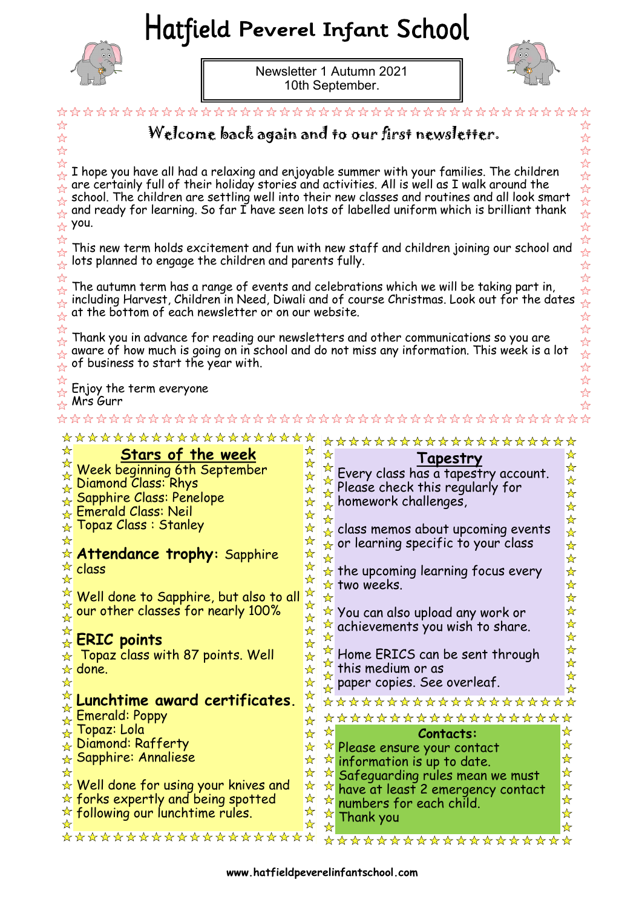## Hatfield Peverel Infant School



Newsletter 1 Autumn 2021 10th September.



 $\overleftrightarrow{\lambda}$ 

 $\overline{\mathcal{U}}$ 

 $\overleftrightarrow{\mathcal{L}}$  $\overline{\mathcal{U}}$  $\frac{1}{2}$  $\overline{\mathcal{U}}$  $\overline{\mathbb{A}}$  $\overleftrightarrow{\mathcal{L}}$ 

 $\overleftrightarrow{\mathcal{L}}$  $\overline{\mathcal{U}}$ 

 $\frac{\lambda}{\lambda}$  $\overline{\mathcal{U}}$ 

 $\frac{1}{2}$  $\frac{1}{2}$  $\overline{\mathcal{U}}$  $\frac{\lambda}{\lambda}$  $\overline{\mathcal{U}}$ 

☆  $\stackrel{\wedge}{\alpha}$   $\stackrel{\wedge}{\alpha}$  $\frac{1}{2}$  $\frac{1}{2}$ \*\*\*\*  $\frac{1}{2}$ Welcome back again and to our first newsletter.  $\overrightarrow{\mathcal{U}}$ I hope you have all had a relaxing and enjoyable summer with your families. The children are certainly full of their holiday stories and activities. All is well as I walk around the school. The children are settling well into their new classes and routines and all look smart and ready for learning. So far  $\overline{I}$  have seen lots of labelled uniform which is brilliant thank you. This new term holds excitement and fun with new staff and children joining our school and lots planned to engage the children and parents fully. The autumn term has a range of events and celebrations which we will be taking part in, including Harvest, Children in Need, Diwali and of course Christmas. Look out for the dates at the bottom of each newsletter or on our website. Thank you in advance for reading our newsletters and other communications so you are aware of how much is going on in school and do not miss any information. This week is a lot of business to start the year with. Enjoy the term everyone Mrs Gurr \*\*\*\*\*\*\*\*\*\*\*\*\*\*\*\*\*\*\*\* \*\*\*\*\*\*\*\*\*\*\*\*\*\*\*\*\*\*\*\* ☆  $\frac{1}{\sqrt{2}}$ **Stars of the week**  ☆ ☆ **Tapestry** ☆ ☆ Every class has a tapestry account. ☆ Week beginning 6th September  $\bigstar$ ☆  $\frac{1}{N}$ Diamond Class: Rhys Please check this regularly for ☆ ☆ ☆ ☆ Sapphire Class: Penelope ☆ ☆ homework challenges, ☆  $\mathbf{\hat{x}}$ Emerald Class: Neil D ☆  $\frac{1}{\mathcal{N}}$ ☆ Topaz Class : Stanley ☆ ☆ class memos about upcoming events ☆  $\bigstar$ ☆  $\star$  or learning specific to your class  $\frac{1}{\mathcal{N}}$ ☆ **Attendance trophy:** Sapphire ☆  $\frac{\lambda}{\lambda}$ ☆ ☆ class  $\frac{\lambda}{\lambda}$  $\star$  the upcoming learning focus every ☆ ☆  $\star$  two weeks.  $\frac{1}{\mathcal{N}}$ ☆ ☆ Well done to Sapphire, but also to all  $\frac{1}{N}$ ☆ ☆ ☆ our other classes for nearly 100% ☆  $\star$  You can also upload any work or ☆  $\frac{1}{\mathcal{N}}$  $\frac{1}{\mathcal{N}}$  $\sqrt{\frac{1}{2}}$  achievements you wish to share.  $\frac{1}{\sqrt{2}}$ ☆ ☆ ☆ **ERIC points** ☆  $\frac{1}{N}$  $\star$  Topaz class with 87 points. Well Home ERICS can be sent through ☆ ☆ ⊀≿  $\star$  done. ☆ this medium or as  $\frac{\lambda}{\lambda}$ ✬  $\frac{\lambda}{\lambda}$ ☆ paper copies. See overleaf.  $\frac{\lambda}{\lambda}$ ☆  $\frac{1}{\sqrt{2}}$ ☆ **Lunchtime award certificates.**  \*\*\*\*\*\*\*\*\*\*\*\*\*\*\*\*\*\* ☆ ☆ ₩ Emerald: Poppy \*\*\*\*\*\*\*\*\*\*\*\*\*\*\*\*\*\*\* ☆ ☆ Topaz: Lola ☆ ☆ ☆ **Contacts:** ☆ **Diamond: Rafferty** ☆  $\overrightarrow{r}$  Please ensure your contact ☆  $\color{red} \star$  Sapphire: Annaliese  $\frac{1}{\sqrt{2}}$  $\frac{1}{\sqrt{2}}$  $\mathbf{r}$ information is up to date.  $\frac{1}{\sqrt{2}}$ ☆ ☆ ☆ Safeguarding rules mean we must  $\star$  Well done for using your knives and  $\frac{1}{N}$ ☆ ☆ have at least 2 emergency contact  $\star$  forks expertly and being spotted ☆  $\frac{1}{\sqrt{2}}$ ☆ numbers for each child. ☆  $\frac{1}{N}$  $\stackrel{\scriptscriptstyle\star}{\propto}$  following our lunchtime rules. ☆ Thank you $\frac{\lambda}{\lambda}$ ☆  $\frac{1}{N}$ ☆ \*\*\*\*\*\*\*\*\*\*\*\*\*\*\*\*\*\*\*\* \*\*\*\*\*\*\*\*\*\*\*\*\*\*\*\*\*\*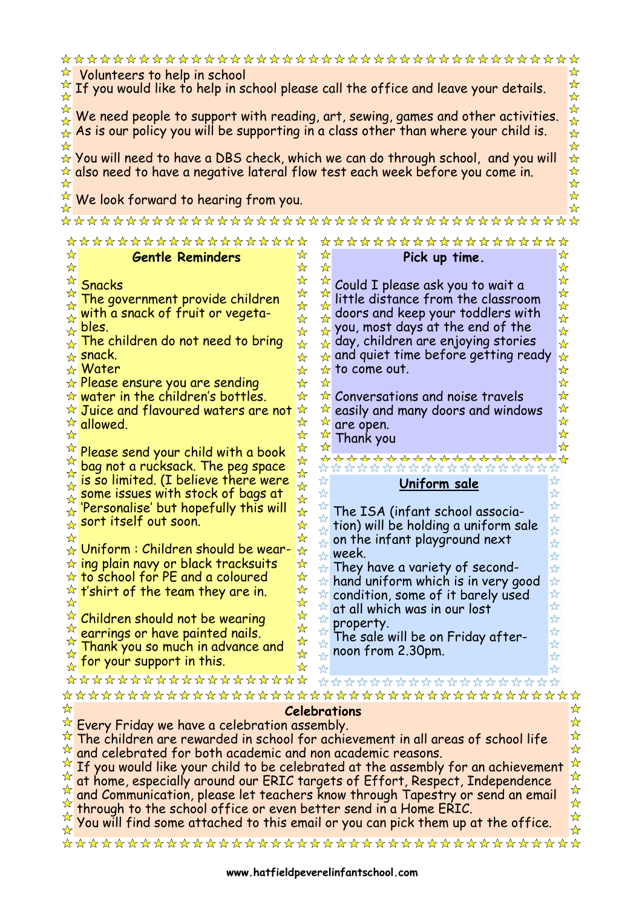|                                                                                                          | ☆                                                                                       |                           |                                    |                                                                                         |                                         |  |  |
|----------------------------------------------------------------------------------------------------------|-----------------------------------------------------------------------------------------|---------------------------|------------------------------------|-----------------------------------------------------------------------------------------|-----------------------------------------|--|--|
| ☆<br>Volunteers to help in school                                                                        |                                                                                         |                           |                                    |                                                                                         |                                         |  |  |
|                                                                                                          | ☆<br>If you would like to help in school please call the office and leave your details. |                           |                                    |                                                                                         |                                         |  |  |
|                                                                                                          | ☆                                                                                       |                           |                                    |                                                                                         |                                         |  |  |
| $\mathbf{K}$                                                                                             | ☆<br>We need people to support with reading, art, sewing, games and other activities.   |                           |                                    |                                                                                         |                                         |  |  |
| $\rightarrow$                                                                                            |                                                                                         |                           |                                    |                                                                                         | $\frac{1}{\lambda}$                     |  |  |
|                                                                                                          |                                                                                         |                           |                                    | As is our policy you will be supporting in a class other than where your child is.      | $\frac{1}{\sqrt{2}}$                    |  |  |
|                                                                                                          |                                                                                         |                           |                                    |                                                                                         | $\frac{1}{\sqrt{2}}$                    |  |  |
|                                                                                                          |                                                                                         |                           |                                    | $\star$ You will need to have a DBS check, which we can do through school, and you will | $\frac{1}{\sqrt{2}}$                    |  |  |
|                                                                                                          | $\star$ also need to have a negative lateral flow test each week before you come in.    |                           |                                    |                                                                                         | ☆                                       |  |  |
|                                                                                                          |                                                                                         |                           |                                    |                                                                                         | ☆                                       |  |  |
|                                                                                                          |                                                                                         |                           |                                    |                                                                                         | ☆                                       |  |  |
|                                                                                                          | We look forward to hearing from you.                                                    |                           |                                    |                                                                                         | ☆                                       |  |  |
|                                                                                                          |                                                                                         |                           |                                    |                                                                                         |                                         |  |  |
|                                                                                                          |                                                                                         |                           |                                    |                                                                                         |                                         |  |  |
|                                                                                                          | ************<br>******                                                                  |                           |                                    | ******************                                                                      |                                         |  |  |
| ☆                                                                                                        | <b>Gentle Reminders</b>                                                                 | ☆                         | ☆                                  | Pick up time.                                                                           | ☆                                       |  |  |
| ☆                                                                                                        |                                                                                         | ☆                         | ☆                                  |                                                                                         | ☆                                       |  |  |
| ☆                                                                                                        |                                                                                         | ☆                         |                                    |                                                                                         | $\star$                                 |  |  |
| ☆                                                                                                        | <b>Snacks</b>                                                                           | $\frac{1}{\sqrt{2}}$      | ☆                                  | Could I please ask you to wait a                                                        | $\star$                                 |  |  |
|                                                                                                          | The government provide children                                                         |                           | ☆                                  | little distance from the classroom                                                      | $\star$                                 |  |  |
|                                                                                                          | with a snack of fruit or vegeta-                                                        | ☆                         |                                    | doors and keep your toddlers with                                                       |                                         |  |  |
| $\frac{\lambda}{\lambda}$                                                                                | bles.                                                                                   | $\mathbf{\hat{x}}$        | ☆                                  | you, most days at the end of the                                                        | $\frac{1}{\mathcal{N}}$                 |  |  |
| ☆                                                                                                        |                                                                                         | ☆                         | ☆                                  |                                                                                         | $\frac{\lambda}{\lambda}$               |  |  |
|                                                                                                          | The children do not need to bring                                                       | ☆                         | $\frac{1}{\sqrt{2}}$               | day, children are enjoying stories                                                      | $\star$                                 |  |  |
| ☆                                                                                                        | snack.                                                                                  | ☆                         | ☆                                  | and quiet time before getting ready                                                     | ☆                                       |  |  |
| ☆                                                                                                        | Water                                                                                   | ☆                         | ☆                                  | to come out.                                                                            | ☆                                       |  |  |
|                                                                                                          | Please ensure you are sending                                                           | ☆                         | ☆                                  |                                                                                         | $\star$                                 |  |  |
|                                                                                                          | water in the children's bottles.                                                        | ☆                         | ☆                                  | Conversations and noise travels                                                         | $\star$                                 |  |  |
|                                                                                                          | Juice and flavoured waters are not                                                      | ☆                         | ☆                                  |                                                                                         | $\star$                                 |  |  |
|                                                                                                          |                                                                                         | ☆                         |                                    | easily and many doors and windows                                                       | ☆                                       |  |  |
| ☆                                                                                                        | $\star$ allowed.                                                                        | ☆                         |                                    | are open.                                                                               | $\star$                                 |  |  |
|                                                                                                          |                                                                                         |                           |                                    | Thank you                                                                               | $\frac{1}{2}$                           |  |  |
|                                                                                                          | Please send your child with a book                                                      | ☆                         |                                    |                                                                                         |                                         |  |  |
| ☆                                                                                                        | bag not a rucksack. The peg space                                                       | ☆                         |                                    | <del>≺</del> ≻ <del>≺≻</del> ⊀≻ ⊀≻ ⊀≻ ⊀≻ ⊀≻ ⊀≻ ⊀≻ ⊀≻                                    |                                         |  |  |
| ☆                                                                                                        | is so limited. (I believe there were                                                    | ☆                         | ☆                                  |                                                                                         |                                         |  |  |
| ☆                                                                                                        | some issues with stock of bags at                                                       | $\frac{1}{\mathcal{N}}$   | $\overleftrightarrow{\mathcal{L}}$ | Uniform sale                                                                            |                                         |  |  |
| ☆                                                                                                        |                                                                                         | $\frac{1}{M}$             |                                    | $\overleftrightarrow{\mathcal{U}}$                                                      |                                         |  |  |
| ☆                                                                                                        | 'Personalise' but hopefully this will                                                   | ☆                         |                                    | The ISA (infant school associa-<br>☆                                                    |                                         |  |  |
| ☆                                                                                                        | sort itself out soon.                                                                   | ☆                         |                                    | tion) will be holding a uniform sale<br>*                                               |                                         |  |  |
| ☆                                                                                                        |                                                                                         | ☆                         |                                    | on the infant playground next                                                           |                                         |  |  |
|                                                                                                          | $\color{red} \star$ Uniform : Children should be wear-                                  | ☆                         | $\frac{1}{2}$                      | week.                                                                                   | ☆<br>$\overleftrightarrow{\mathcal{L}}$ |  |  |
|                                                                                                          | $\star$ ing plain navy or black tracksuits                                              | ☆                         | $x^2$                              | They have a variety of second-                                                          | $\frac{1}{2}$                           |  |  |
| ☆                                                                                                        | to school for PE and a coloured                                                         | ☆                         |                                    |                                                                                         |                                         |  |  |
|                                                                                                          | $\star$ t'shirt of the team they are in.                                                |                           | ☆                                  | hand uniform which is in very good                                                      | $\frac{1}{2}$                           |  |  |
| ☆                                                                                                        |                                                                                         | 计许许                       | $\frac{1}{2}$                      | $\frac{1}{2}$<br>condition, some of it barely used                                      |                                         |  |  |
| ☆                                                                                                        |                                                                                         |                           | $\overleftrightarrow{z}$           | at all which was in our lost                                                            | $\overleftrightarrow{\mathbf{k}}$       |  |  |
| ☆                                                                                                        | Children should not be wearing                                                          |                           | $\frac{1}{2}$                      | property.                                                                               | $\frac{1}{2}$                           |  |  |
|                                                                                                          | earrings or have painted nails.                                                         | ☆<br>$\frac{1}{\sqrt{2}}$ | $x^2$                              | The sale will be on Friday after-                                                       | $\frac{1}{2}$                           |  |  |
| ☆                                                                                                        | Thank you so much in advance and                                                        | ☆                         | ☆                                  | $\overleftrightarrow{\mathcal{L}}$<br>noon from 2.30pm.                                 |                                         |  |  |
| ☆                                                                                                        | for your support in this.                                                               | $\star$                   | $\overleftrightarrow{\mathbf{r}}$  | $\frac{1}{2}$                                                                           |                                         |  |  |
|                                                                                                          |                                                                                         |                           | $\rightarrow$                      | $\frac{1}{2}$                                                                           |                                         |  |  |
|                                                                                                          | *******************                                                                     |                           |                                    | ******************                                                                      |                                         |  |  |
|                                                                                                          | *****************                                                                       |                           |                                    | ********************                                                                    |                                         |  |  |
| ☆                                                                                                        |                                                                                         |                           |                                    | <b>Celebrations</b>                                                                     | ☆                                       |  |  |
|                                                                                                          | $\star$ Every Friday we have a celebration assembly.                                    |                           |                                    |                                                                                         | $\frac{\lambda}{\lambda}$               |  |  |
|                                                                                                          | The children are rewarded in school for achievement in all areas of school life         |                           |                                    |                                                                                         |                                         |  |  |
|                                                                                                          |                                                                                         |                           |                                    |                                                                                         | 琴琴                                      |  |  |
|                                                                                                          | $\overrightarrow{A}$ and celebrated for both academic and non academic reasons.         |                           |                                    |                                                                                         | $\frac{1}{\mathcal{N}}$                 |  |  |
|                                                                                                          |                                                                                         |                           |                                    | If you would like your child to be celebrated at the assembly for an achievement        |                                         |  |  |
|                                                                                                          |                                                                                         |                           |                                    | at home, especially around our ERIC targets of Effort, Respect, Independence            |                                         |  |  |
|                                                                                                          |                                                                                         |                           |                                    | and Communication, please let teachers know through Tapestry or send an email           | 琴琴琴                                     |  |  |
| through to the school office or even better send in a Home ERIC.                                         |                                                                                         |                           |                                    |                                                                                         |                                         |  |  |
| $\frac{1}{\sqrt{2}}$<br>You will find some attached to this email or you can pick them up at the office. |                                                                                         |                           |                                    |                                                                                         |                                         |  |  |
| $\frac{1}{\mathcal{N}}$                                                                                  |                                                                                         |                           |                                    |                                                                                         |                                         |  |  |
|                                                                                                          |                                                                                         |                           |                                    |                                                                                         |                                         |  |  |